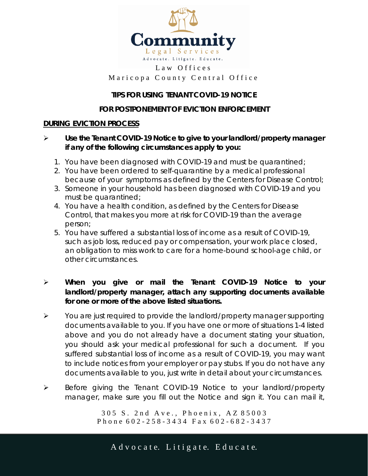

#### Law Offices Marico pa County Central Office

## **TIPS FOR USING TENANT COVID-19 NOTICE**

#### **FOR POSTPONEMENT OF EVICTION ENFORCEMENT**

#### **DURING EVICTION PROCESS**

- **Use the Tenant COVID-19 Notice to give to your landlord/property manager if any of the following circumstances apply to you:**
	- 1. You have been diagnosed with COVID-19 and must be quarantined;
	- 2. You have been ordered to self-quarantine by a medical professional because of your symptoms as defined by the Centers for Disease Control;
	- 3. Someone in your household has been diagnosed with COVID-19 and you must be quarantined;
	- 4. You have a health condition, as defined by the Centers for Disease Control, that makes you more at risk for COVID-19 than the average person;
	- 5. You have suffered a substantial loss of income as a result of COVID-19, such as job loss, reduced pay or compensation, your work place closed, an obligation to miss work to care for a home-bound school-age child, or other circumstances.

## **When you give or mail the Tenant COVID-19 Notice to your landlord/property manager, attach any supporting documents available for one or more of the above listed situations.**

- $\triangleright$  You are just required to provide the landlord/property manager supporting documents available to you. If you have one or more of situations 1-4 listed above and you do not already have a document stating your situation, you should ask your medical professional for such a document. If you suffered substantial loss of income as a result of COVID-19, you may want to include notices from your employer or pay stubs. If you do not have any documents available to you, just write in detail about your circumstances.
- Before giving the Tenant COVID-19 Notice to your landlord/property manager, make sure you fill out the Notice and sign it. You can mail it,

305 S. 2nd Ave., Phoenix, AZ 85003 P h o n e 6 0 2 - 2 5 8 - 3 4 3 4 F a x 6 0 2 - 6 8 2 - 3 4 3 7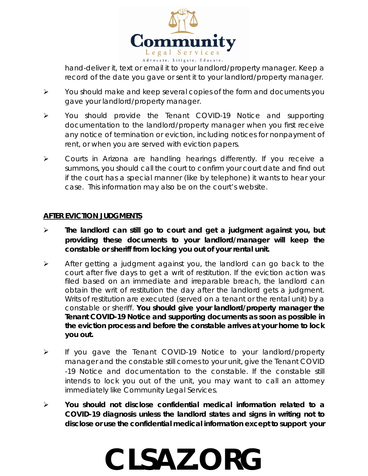

hand-deliver it, text or email it to your landlord/property manager. Keep a record of the date you gave or sent it to your landlord/property manager.

- $\triangleright$  You should make and keep several copies of the form and documents you gave your landlord/property manager.
- You should provide the Tenant COVID-19 Notice and supporting documentation to the landlord/property manager when you first receive any notice of termination or eviction, including notices for nonpayment of rent, or when you are served with eviction papers.
- Courts in Arizona are handling hearings differently. If you receive a summons, you should call the court to confirm your court date and find out if the court has a special manner (like by telephone) it wants to hear your case. This information may also be on the court's website.

### **AFTER EVICTION JUDGMENTS**

- **The landlord can still go to court and get a judgment against you, but providing these documents to your landlord/manager will keep the constable or sheriff from locking you out of your rental unit.**
- $\triangleright$  After getting a judgment against you, the landlord can go back to the court after five days to get a writ of restitution. If the eviction action was filed based on an immediate and irreparable breach, the landlord can obtain the writ of restitution the day after the landlord gets a judgment. Writs of restitution are executed (served on a tenant or the rental unit) by a constable or sheriff. **You should give your landlord/property manager the Tenant COVID-19 Notice and supporting documents as soon as possible in the eviction process and before the constable arrives at your home to lock you out.**
- If you gave the Tenant COVID-19 Notice to your landlord/property manager and the constable still comes to your unit, give the Tenant COVID -19 Notice and documentation to the constable. If the constable still intends to lock you out of the unit, you may want to call an attorney immediately like Community Legal Services.
- **You should not disclose confidential medical information related to a COVID-19 diagnosis unless the landlord states and signs in writing not to disclose or use the confidential medical information except to support your**

# **CLSAZ.ORG**